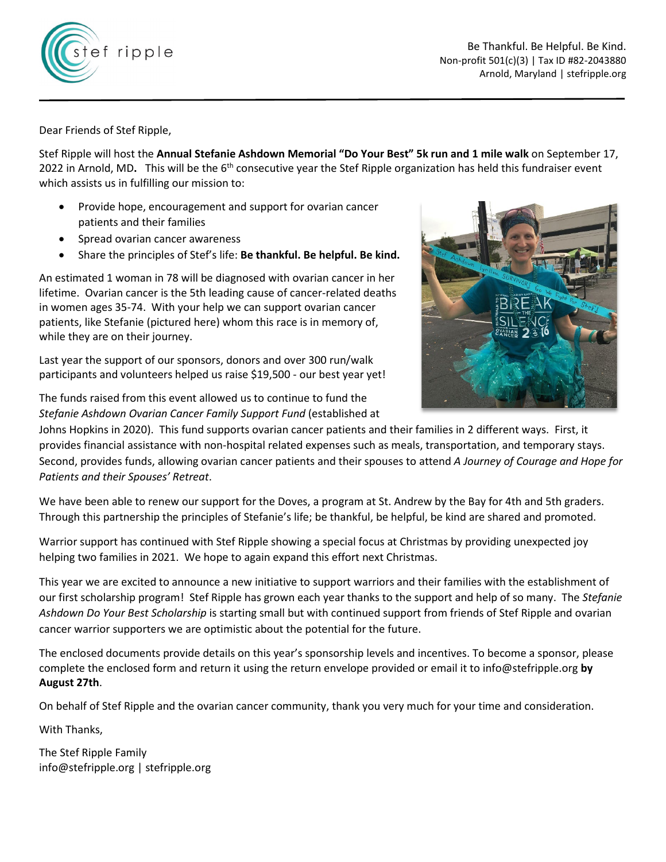



Dear Friends of Stef Ripple,

Stef Ripple will host the **Annual Stefanie Ashdown Memorial "Do Your Best" 5k run and 1 mile walk** on September 17, 2022 in Arnold, MD. This will be the 6<sup>th</sup> consecutive year the Stef Ripple organization has held this fundraiser event which assists us in fulfilling our mission to:

- Provide hope, encouragement and support for ovarian cancer patients and their families
- Spread ovarian cancer awareness
- Share the principles of Stef's life: **Be thankful. Be helpful. Be kind.**

An estimated 1 woman in 78 will be diagnosed with ovarian cancer in her lifetime. Ovarian cancer is the 5th leading cause of cancer-related deaths in women ages 35-74. With your help we can support ovarian cancer patients, like Stefanie (pictured here) whom this race is in memory of, while they are on their journey.

Last year the support of our sponsors, donors and over 300 run/walk participants and volunteers helped us raise \$19,500 - our best year yet!

The funds raised from this event allowed us to continue to fund the *Stefanie Ashdown Ovarian Cancer Family Support Fund* (established at



Johns Hopkins in 2020). This fund supports ovarian cancer patients and their families in 2 different ways. First, it provides financial assistance with non-hospital related expenses such as meals, transportation, and temporary stays. Second, provides funds, allowing ovarian cancer patients and their spouses to attend *A Journey of Courage and Hope for Patients and their Spouses' Retreat*.

We have been able to renew our support for the Doves, a program at St. Andrew by the Bay for 4th and 5th graders. Through this partnership the principles of Stefanie's life; be thankful, be helpful, be kind are shared and promoted.

Warrior support has continued with Stef Ripple showing a special focus at Christmas by providing unexpected joy helping two families in 2021. We hope to again expand this effort next Christmas.

This year we are excited to announce a new initiative to support warriors and their families with the establishment of our first scholarship program! Stef Ripple has grown each year thanks to the support and help of so many. The *Stefanie Ashdown Do Your Best Scholarship* is starting small but with continued support from friends of Stef Ripple and ovarian cancer warrior supporters we are optimistic about the potential for the future.

The enclosed documents provide details on this year's sponsorship levels and incentives. To become a sponsor, please complete the enclosed form and return it using the return envelope provided or email it to info@stefripple.org **by August 27th**.

On behalf of Stef Ripple and the ovarian cancer community, thank you very much for your time and consideration.

With Thanks,

The Stef Ripple Family info@stefripple.org | stefripple.org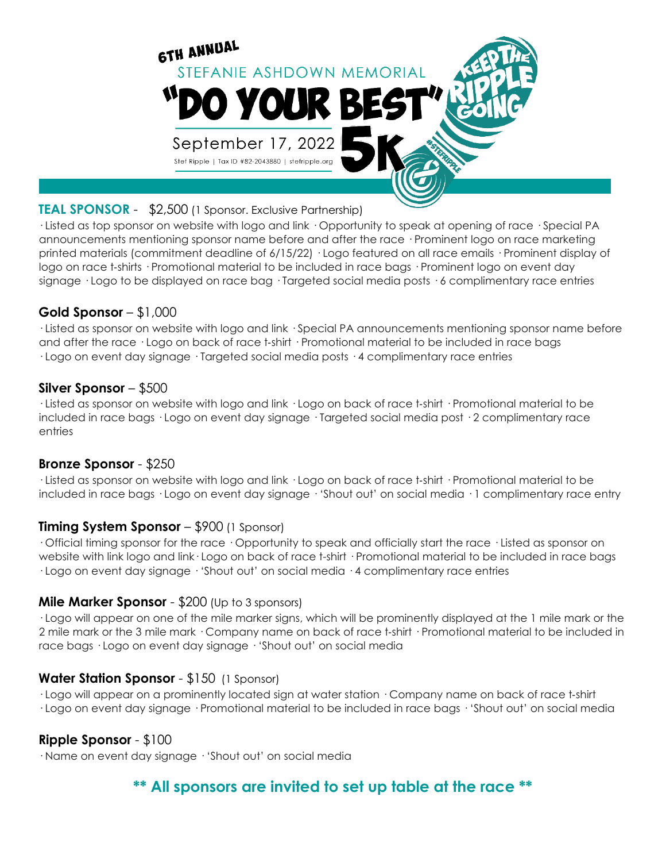

# **TEAL SPONSOR** - \$2,500 (1 Sponsor. Exclusive Partnership)

· Listed as top sponsor on website with logo and link · Opportunity to speak at opening of race · Special PA announcements mentioning sponsor name before and after the race · Prominent logo on race marketing printed materials (commitment deadline of 6/15/22) · Logo featured on all race emails · Prominent display of logo on race t-shirts · Promotional material to be included in race bags · Prominent logo on event day signage · Logo to be displayed on race bag · Targeted social media posts · 6 complimentary race entries

### **Gold Sponsor** – \$1,000

· Listed as sponsor on website with logo and link · Special PA announcements mentioning sponsor name before and after the race  $\cdot$  Logo on back of race t-shirt  $\cdot$  Promotional material to be included in race bags · Logo on event day signage · Targeted social media posts · 4 complimentary race entries

### **Silver Sponsor** – \$500

· Listed as sponsor on website with logo and link · Logo on back of race t‐shirt · Promotional material to be included in race bags · Logo on event day signage · Targeted social media post · 2 complimentary race entries

#### **Bronze Sponsor** - \$250

· Listed as sponsor on website with logo and link · Logo on back of race t‐shirt · Promotional material to be included in race bags · Logo on event day signage · 'Shout out' on social media · 1 complimentary race entry

#### **Timing System Sponsor** – \$900 (1 Sponsor)

· Official timing sponsor for the race · Opportunity to speak and officially start the race · Listed as sponsor on website with link logo and link · Logo on back of race t-shirt · Promotional material to be included in race bags · Logo on event day signage · 'Shout out' on social media · 4 complimentary race entries

#### **Mile Marker Sponsor** - \$200 (Up to 3 sponsors)

· Logo will appear on one of the mile marker signs, which will be prominently displayed at the 1 mile mark or the 2 mile mark or the 3 mile mark · Company name on back of race t-shirt · Promotional material to be included in race bags · Logo on event day signage · 'Shout out' on social media

# **Water Station Sponsor** - \$150 (1 Sponsor)

· Logo will appear on a prominently located sign at water station · Company name on back of race t‐shirt · Logo on event day signage · Promotional material to be included in race bags · 'Shout out' on social media

#### **Ripple Sponsor** - \$100

· Name on event day signage · 'Shout out' on social media

# **\*\* All sponsors are invited to set up table at the race \*\***